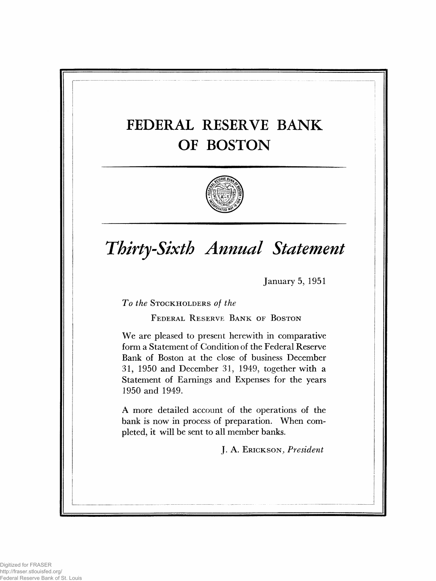# **FEDERAL RESERVE BANK OF BOSTON**



# *Thirty-Sixth Annual Statement*

January 5, 1951

**To the STOCKHOLDERS of the** 

**FEDERAL RESERVE BANK OF BOSTON** 

We are pleased to present herewith in comparative form a Statement of Condition of the Federal Reserve Bank of Boston at the close of business December 31, 1950 and December 31, 1949, together with a Statement of Earnings and Expenses for the years 1950 and 1949.

A more detailed account of the operations of the bank is now in process of preparation. When completed, it will be sent to all member banks.

J. A. **E r i c k s o n .,** *President*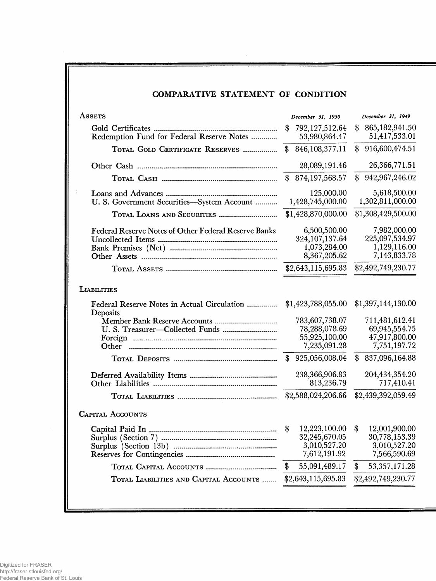## **COMPARATIVE STATEMENT OF CONDITION**

| ASSETS                                                      | December 31, 1950                                                | December 31, 1949                                              |
|-------------------------------------------------------------|------------------------------------------------------------------|----------------------------------------------------------------|
| Redemption Fund for Federal Reserve Notes                   | 792,127,512.64<br>\$<br>53,980,864.47                            | 865, 182, 941.50<br>\$<br>51,417,533.01                        |
| TOTAL GOLD CERTIFICATE RESERVES                             | 846, 108, 377. 11<br>\$                                          | 916,600,474.51<br>$\mathbf{\$}$                                |
|                                                             | 28,089,191.46                                                    | 26,366,771.51                                                  |
|                                                             | 874, 197, 568. 57<br>$\mathbf{\$}$                               | \$942,967,246.02                                               |
| U. S. Government Securities-System Account                  | 125,000.00<br>1,428,745,000.00                                   | 5,618,500.00<br>1,302,811,000.00                               |
| TOTAL LOANS AND SECURITIES                                  | \$1,428,870,000.00                                               | \$1,308,429,500.00                                             |
| <b>Federal Reserve Notes of Other Federal Reserve Banks</b> | 6,500,500.00<br>324, 107, 137.64<br>1,073,284.00<br>8,367,205.62 | 7,982,000.00<br>225,097,534.97<br>1,129,116.00<br>7,143,833.78 |
|                                                             | \$2,643,115,695.83                                               | \$2,492,749,230.77                                             |
| <b>LIABILITIES</b>                                          |                                                                  |                                                                |
| Federal Reserve Notes in Actual Circulation<br>Deposits     | \$1,423,788,055.00                                               | \$1,397,144,130.00                                             |
| Member Bank Reserve Accounts                                | 783,607,738.07                                                   | 711,481,612.41                                                 |
|                                                             | 78,288,078.69<br>55,925,100.00                                   | 69,945,554.75<br>47,917,800.00                                 |
| Other                                                       | 7,235,091.28                                                     | 7,751,197.72                                                   |
|                                                             | 925,056,008.04<br>$\mathbf{\$}$                                  | 837,096,164.88<br>\$                                           |
|                                                             | 238,366,906.83<br>813,236.79                                     | 204,434,354.20<br>717,410.41                                   |
|                                                             | \$2,588,024,206.66                                               | \$2,439,392,059.49                                             |
| <b>CAPITAL ACCOUNTS</b>                                     |                                                                  |                                                                |
|                                                             | 12,223,100.00<br>\$                                              | 12,001,900.00<br>\$                                            |
|                                                             | 32,245,670.05<br>3,010,527.20                                    | 30,778,153.39                                                  |
|                                                             | 7,612,191.92                                                     | 3,010,527.20<br>7,566,590.69                                   |
|                                                             | \$<br>55,091,489.17                                              | \$<br>53, 357, 171. 28                                         |
| TOTAL LIABILITIES AND CAPITAL ACCOUNTS                      | \$2,643,115,695.83                                               | \$2,492,749,230.77                                             |
|                                                             |                                                                  |                                                                |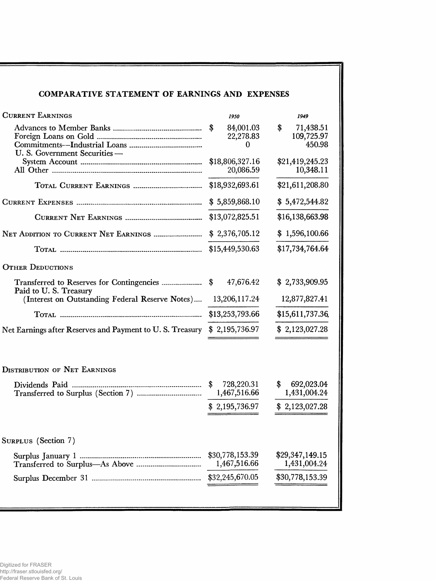## COMPARATIVE STATEMENT OF EARNINGS AND EXPENSES

| <b>CURRENT EARNINGS</b>                                                  | 1950                              | 1949                                    |
|--------------------------------------------------------------------------|-----------------------------------|-----------------------------------------|
|                                                                          | 84,001.03<br>\$<br>22,278.83<br>0 | \$<br>71,438.51<br>109,725.97<br>450.98 |
| U. S. Government Securities -                                            | \$18,806,327.16<br>20,086.59      | \$21,419,245.23<br>10,348.11            |
|                                                                          | \$18,932,693.61                   | \$21,611,208.80                         |
|                                                                          | \$5,859,868.10                    | \$5,472,544.82                          |
|                                                                          | \$13,072,825.51                   | \$16,138,663.98                         |
| NET ADDITION TO CURRENT NET EARNINGS                                     | \$2,376,705.12                    | \$1,596,100.66                          |
|                                                                          | \$15,449,530.63                   | \$17,734,764.64                         |
| <b>OTHER DEDUCTIONS</b>                                                  |                                   |                                         |
|                                                                          | 47,676.42                         | \$2,733,909.95                          |
| Paid to U.S. Treasury<br>(Interest on Outstanding Federal Reserve Notes) | 13,206,117.24                     | 12,877,827.41                           |
|                                                                          | \$13,253,793.66                   | \$15,611,737.36                         |
| Net Earnings after Reserves and Payment to U.S. Treasury \$ 2,195,736.97 |                                   | \$2,123,027.28                          |
| <b>DISTRIBUTION OF NET EARNINGS</b>                                      |                                   |                                         |
|                                                                          | 728,220.31<br>\$<br>1,467,516.66  | \$<br>692,023.04<br>1,431,004.24        |
|                                                                          |                                   | \$2,195,736.97 \$2,123,027.28           |
| SURPLUS (Section 7)                                                      |                                   |                                         |
| Surplus January 1                                                        | \$30,778,153.39<br>1,467,516.66   | \$29,347,149.15<br>1,431,004.24         |
|                                                                          | \$32,245,670.05                   | \$30,778,153.39                         |